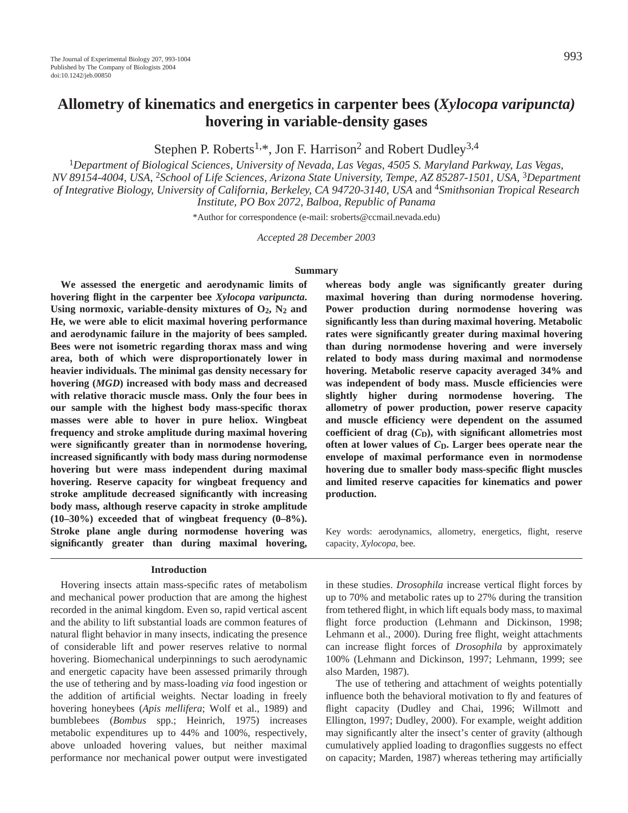# **Allometry of kinematics and energetics in carpenter bees (***Xylocopa varipuncta)* **hovering in variable-density gases**

Stephen P. Roberts<sup>1,\*</sup>, Jon F. Harrison<sup>2</sup> and Robert Dudley<sup>3,4</sup>

<sup>1</sup>*Department of Biological Sciences, University of Nevada, Las Vegas, 4505 S. Maryland Parkway, Las Vegas, NV 89154-4004, USA,* <sup>2</sup>*School of Life Sciences, Arizona State University, Tempe, AZ 85287-1501, USA,* <sup>3</sup>*Department of Integrative Biology, University of California, Berkeley, CA 94720-3140, USA* and 4*Smithsonian Tropical Research Institute, PO Box 2072, Balboa, Republic of Panama*

\*Author for correspondence (e-mail: sroberts@ccmail.nevada.edu)

*Accepted 28 December 2003*

#### **Summary**

**We assessed the energetic and aerodynamic limits of hovering flight in the carpenter bee** *Xylocopa varipuncta***. Using normoxic, variable-density mixtures of O2, N2 and He, we were able to elicit maximal hovering performance and aerodynamic failure in the majority of bees sampled. Bees were not isometric regarding thorax mass and wing area, both of which were disproportionately lower in heavier individuals. The minimal gas density necessary for hovering (***MGD***) increased with body mass and decreased with relative thoracic muscle mass. Only the four bees in our sample with the highest body mass-specific thorax masses were able to hover in pure heliox. Wingbeat frequency and stroke amplitude during maximal hovering were significantly greater than in normodense hovering, increased significantly with body mass during normodense hovering but were mass independent during maximal hovering. Reserve capacity for wingbeat frequency and stroke amplitude decreased significantly with increasing body mass, although reserve capacity in stroke amplitude (10–30%) exceeded that of wingbeat frequency (0–8%). Stroke plane angle during normodense hovering was significantly greater than during maximal hovering,**

#### **Introduction**

Hovering insects attain mass-specific rates of metabolism and mechanical power production that are among the highest recorded in the animal kingdom. Even so, rapid vertical ascent and the ability to lift substantial loads are common features of natural flight behavior in many insects, indicating the presence of considerable lift and power reserves relative to normal hovering. Biomechanical underpinnings to such aerodynamic and energetic capacity have been assessed primarily through the use of tethering and by mass-loading *via* food ingestion or the addition of artificial weights. Nectar loading in freely hovering honeybees (*Apis mellifera*; Wolf et al., 1989) and bumblebees (*Bombus* spp.; Heinrich, 1975) increases metabolic expenditures up to 44% and 100%, respectively, above unloaded hovering values, but neither maximal performance nor mechanical power output were investigated **whereas body angle was significantly greater during maximal hovering than during normodense hovering. Power production during normodense hovering was significantly less than during maximal hovering. Metabolic rates were significantly greater during maximal hovering than during normodense hovering and were inversely related to body mass during maximal and normodense hovering. Metabolic reserve capacity averaged 34% and was independent of body mass. Muscle efficiencies were slightly higher during normodense hovering. The allometry of power production, power reserve capacity and muscle efficiency were dependent on the assumed** coefficient of drag  $(C<sub>D</sub>)$ , with significant allometries most **often at lower values of** *C***D. Larger bees operate near the envelope of maximal performance even in normodense hovering due to smaller body mass-specific flight muscles and limited reserve capacities for kinematics and power production.**

Key words: aerodynamics, allometry, energetics, flight, reserve capacity, *Xylocopa*, bee*.*

in these studies. *Drosophila* increase vertical flight forces by up to 70% and metabolic rates up to 27% during the transition from tethered flight, in which lift equals body mass, to maximal flight force production (Lehmann and Dickinson, 1998; Lehmann et al., 2000). During free flight, weight attachments can increase flight forces of *Drosophila* by approximately 100% (Lehmann and Dickinson, 1997; Lehmann, 1999; see also Marden, 1987).

The use of tethering and attachment of weights potentially influence both the behavioral motivation to fly and features of flight capacity (Dudley and Chai, 1996; Willmott and Ellington, 1997; Dudley, 2000). For example, weight addition may significantly alter the insect's center of gravity (although cumulatively applied loading to dragonflies suggests no effect on capacity; Marden, 1987) whereas tethering may artificially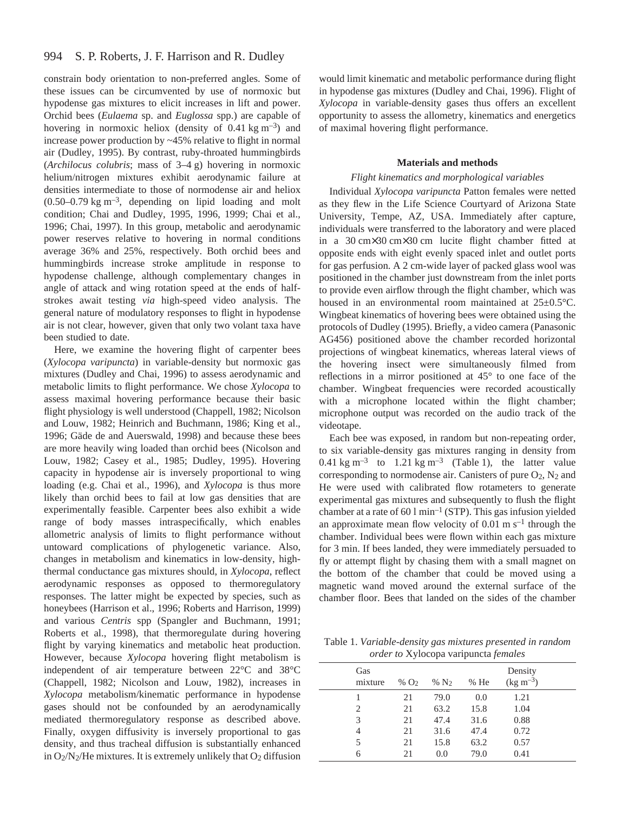constrain body orientation to non-preferred angles. Some of these issues can be circumvented by use of normoxic but hypodense gas mixtures to elicit increases in lift and power. Orchid bees (*Eulaema* sp. and *Euglossa* spp.) are capable of hovering in normoxic heliox (density of  $0.41 \text{ kg m}^{-3}$ ) and increase power production by ~45% relative to flight in normal air (Dudley, 1995). By contrast, ruby-throated hummingbirds  $(Archilocus \, \, \text{columns}; \, \, \text{mass of} \, \, 3-4 \, \, \text{g})$  hovering in normoxic helium/nitrogen mixtures exhibit aerodynamic failure at densities intermediate to those of normodense air and heliox  $(0.50-0.79 \text{ kg m}^{-3})$ , depending on lipid loading and molt condition; Chai and Dudley, 1995, 1996, 1999; Chai et al., 1996; Chai, 1997). In this group, metabolic and aerodynamic power reserves relative to hovering in normal conditions average 36% and 25%, respectively. Both orchid bees and hummingbirds increase stroke amplitude in response to hypodense challenge, although complementary changes in angle of attack and wing rotation speed at the ends of halfstrokes await testing *via* high-speed video analysis. The general nature of modulatory responses to flight in hypodense air is not clear, however, given that only two volant taxa have been studied to date.

Here, we examine the hovering flight of carpenter bees (*Xylocopa varipuncta*) in variable-density but normoxic gas mixtures (Dudley and Chai, 1996) to assess aerodynamic and metabolic limits to flight performance. We chose *Xylocopa* to assess maximal hovering performance because their basic flight physiology is well understood (Chappell, 1982; Nicolson and Louw, 1982; Heinrich and Buchmann, 1986; King et al., 1996; Gäde de and Auerswald, 1998) and because these bees are more heavily wing loaded than orchid bees (Nicolson and Louw, 1982; Casey et al., 1985; Dudley, 1995). Hovering capacity in hypodense air is inversely proportional to wing loading (e.g. Chai et al., 1996), and *Xylocopa* is thus more likely than orchid bees to fail at low gas densities that are experimentally feasible. Carpenter bees also exhibit a wide range of body masses intraspecifically, which enables allometric analysis of limits to flight performance without untoward complications of phylogenetic variance. Also, changes in metabolism and kinematics in low-density, highthermal conductance gas mixtures should, in *Xylocopa*, reflect aerodynamic responses as opposed to thermoregulatory responses. The latter might be expected by species, such as honeybees (Harrison et al., 1996; Roberts and Harrison, 1999) and various *Centris* spp (Spangler and Buchmann, 1991; Roberts et al., 1998), that thermoregulate during hovering flight by varying kinematics and metabolic heat production. However, because *Xylocopa* hovering flight metabolism is independent of air temperature between 22°C and 38°C (Chappell, 1982; Nicolson and Louw, 1982), increases in *Xylocopa* metabolism/kinematic performance in hypodense gases should not be confounded by an aerodynamically mediated thermoregulatory response as described above. Finally, oxygen diffusivity is inversely proportional to gas density, and thus tracheal diffusion is substantially enhanced in  $O_2/N_2$ /He mixtures. It is extremely unlikely that  $O_2$  diffusion

would limit kinematic and metabolic performance during flight in hypodense gas mixtures (Dudley and Chai, 1996). Flight of *Xylocopa* in variable-density gases thus offers an excellent opportunity to assess the allometry, kinematics and energetics of maximal hovering flight performance.

# **Materials and methods**

### *Flight kinematics and morphological variables*

Individual *Xylocopa varipuncta* Patton females were netted as they flew in the Life Science Courtyard of Arizona State University, Tempe, AZ, USA. Immediately after capture, individuals were transferred to the laboratory and were placed in a  $30 \text{ cm} \times 30 \text{ cm} \times 30 \text{ cm}$  lucite flight chamber fitted at opposite ends with eight evenly spaced inlet and outlet ports for gas perfusion. A 2 cm-wide layer of packed glass wool was positioned in the chamber just downstream from the inlet ports to provide even airflow through the flight chamber, which was housed in an environmental room maintained at 25±0.5°C. Wingbeat kinematics of hovering bees were obtained using the protocols of Dudley (1995). Briefly, a video camera (Panasonic AG456) positioned above the chamber recorded horizontal projections of wingbeat kinematics, whereas lateral views of the hovering insect were simultaneously filmed from reflections in a mirror positioned at 45° to one face of the chamber. Wingbeat frequencies were recorded acoustically with a microphone located within the flight chamber; microphone output was recorded on the audio track of the videotape.

Each bee was exposed, in random but non-repeating order, to six variable-density gas mixtures ranging in density from 0.41 kg m<sup>-3</sup> to 1.21 kg m<sup>-3</sup> (Table 1), the latter value corresponding to normodense air. Canisters of pure O2, N2 and He were used with calibrated flow rotameters to generate experimental gas mixtures and subsequently to flush the flight chamber at a rate of 60  $1 \text{ min}^{-1}$  (STP). This gas infusion yielded an approximate mean flow velocity of  $0.01 \text{ m s}^{-1}$  through the chamber. Individual bees were flown within each gas mixture for 3 min. If bees landed, they were immediately persuaded to fly or attempt flight by chasing them with a small magnet on the bottom of the chamber that could be moved using a magnetic wand moved around the external surface of the chamber floor. Bees that landed on the sides of the chamber

Table 1. *Variable-density gas mixtures presented in random order to* Xylocopa varipuncta *females*

| Gas     |        |                  |        | Density              |  |
|---------|--------|------------------|--------|----------------------|--|
| mixture | % $O2$ | % N <sub>2</sub> | $%$ He | $(\text{kg m}^{-3})$ |  |
|         | 21     | 79.0             | 0.0    | 1.21                 |  |
| 2       | 21     | 63.2             | 15.8   | 1.04                 |  |
| 3       | 21     | 47.4             | 31.6   | 0.88                 |  |
| 4       | 21     | 31.6             | 47.4   | 0.72                 |  |
| 5       | 21     | 15.8             | 63.2   | 0.57                 |  |
| 6       | 21     | 0.0              | 79.0   | 0.41                 |  |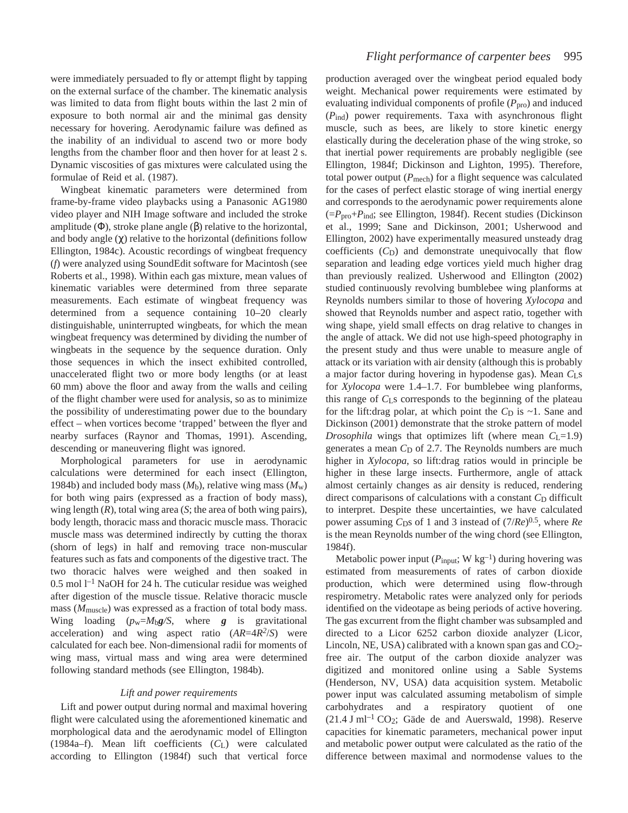were immediately persuaded to fly or attempt flight by tapping on the external surface of the chamber. The kinematic analysis was limited to data from flight bouts within the last 2 min of exposure to both normal air and the minimal gas density necessary for hovering. Aerodynamic failure was defined as the inability of an individual to ascend two or more body lengths from the chamber floor and then hover for at least 2 s. Dynamic viscosities of gas mixtures were calculated using the formulae of Reid et al. (1987).

Wingbeat kinematic parameters were determined from frame-by-frame video playbacks using a Panasonic AG1980 video player and NIH Image software and included the stroke amplitude (Φ), stroke plane angle (β) relative to the horizontal, and body angle  $(\chi)$  relative to the horizontal (definitions follow Ellington, 1984c). Acoustic recordings of wingbeat frequency (*f*) were analyzed using SoundEdit software for Macintosh (see Roberts et al., 1998). Within each gas mixture, mean values of kinematic variables were determined from three separate measurements. Each estimate of wingbeat frequency was determined from a sequence containing 10–20 clearly distinguishable, uninterrupted wingbeats, for which the mean wingbeat frequency was determined by dividing the number of wingbeats in the sequence by the sequence duration. Only those sequences in which the insect exhibited controlled, unaccelerated flight two or more body lengths (or at least 60 mm) above the floor and away from the walls and ceiling of the flight chamber were used for analysis, so as to minimize the possibility of underestimating power due to the boundary effect – when vortices become 'trapped' between the flyer and nearby surfaces (Raynor and Thomas, 1991). Ascending, descending or maneuvering flight was ignored.

Morphological parameters for use in aerodynamic calculations were determined for each insect (Ellington, 1984b) and included body mass  $(M_b)$ , relative wing mass  $(M_w)$ for both wing pairs (expressed as a fraction of body mass), wing length (*R*), total wing area (*S*; the area of both wing pairs), body length, thoracic mass and thoracic muscle mass. Thoracic muscle mass was determined indirectly by cutting the thorax (shorn of legs) in half and removing trace non-muscular features such as fats and components of the digestive tract. The two thoracic halves were weighed and then soaked in  $0.5$  mol  $l<sup>-1</sup>$  NaOH for 24 h. The cuticular residue was weighed after digestion of the muscle tissue. Relative thoracic muscle mass ( $M<sub>muscle</sub>$ ) was expressed as a fraction of total body mass. Wing loading  $(p_w=M_bg/S,$  where *g* is gravitational acceleration) and wing aspect ratio (*AR*=4*R2*/*S*) were calculated for each bee. Non-dimensional radii for moments of wing mass, virtual mass and wing area were determined following standard methods (see Ellington, 1984b).

#### *Lift and power requirements*

Lift and power output during normal and maximal hovering flight were calculated using the aforementioned kinematic and morphological data and the aerodynamic model of Ellington (1984a–f). Mean lift coefficients (*C*L) were calculated according to Ellington (1984f) such that vertical force

production averaged over the wingbeat period equaled body weight. Mechanical power requirements were estimated by evaluating individual components of profile ( $P_{\text{pro}}$ ) and induced (*P*ind) power requirements. Taxa with asynchronous flight muscle, such as bees, are likely to store kinetic energy elastically during the deceleration phase of the wing stroke, so that inertial power requirements are probably negligible (see Ellington, 1984f; Dickinson and Lighton, 1995). Therefore, total power output  $(P_{\text{mech}})$  for a flight sequence was calculated for the cases of perfect elastic storage of wing inertial energy and corresponds to the aerodynamic power requirements alone (=*P*pro+*P*ind; see Ellington, 1984f). Recent studies (Dickinson et al., 1999; Sane and Dickinson, 2001; Usherwood and Ellington, 2002) have experimentally measured unsteady drag coefficients  $(C_D)$  and demonstrate unequivocally that flow separation and leading edge vortices yield much higher drag than previously realized. Usherwood and Ellington (2002) studied continuously revolving bumblebee wing planforms at Reynolds numbers similar to those of hovering *Xylocopa* and showed that Reynolds number and aspect ratio, together with wing shape, yield small effects on drag relative to changes in the angle of attack. We did not use high-speed photography in the present study and thus were unable to measure angle of attack or its variation with air density (although this is probably a major factor during hovering in hypodense gas). Mean *C*Ls for *Xylocopa* were 1.4–1.7. For bumblebee wing planforms, this range of *C*Ls corresponds to the beginning of the plateau for the lift:drag polar, at which point the  $C<sub>D</sub>$  is  $\sim$ 1. Sane and Dickinson (2001) demonstrate that the stroke pattern of model *Drosophila* wings that optimizes lift (where mean  $C_{L}=1.9$ ) generates a mean C<sub>D</sub> of 2.7. The Reynolds numbers are much higher in *Xylocopa*, so lift:drag ratios would in principle be higher in these large insects. Furthermore, angle of attack almost certainly changes as air density is reduced, rendering direct comparisons of calculations with a constant C<sub>D</sub> difficult to interpret. Despite these uncertainties, we have calculated power assuming *C*<sub>D</sub>s of 1 and 3 instead of  $(7/Re)^{0.5}$ , where *Re* is the mean Reynolds number of the wing chord (see Ellington, 1984f).

Metabolic power input  $(P_{input}; W kg^{-1})$  during hovering was estimated from measurements of rates of carbon dioxide production, which were determined using flow-through respirometry. Metabolic rates were analyzed only for periods identified on the videotape as being periods of active hovering. The gas excurrent from the flight chamber was subsampled and directed to a Licor 6252 carbon dioxide analyzer (Licor, Lincoln, NE, USA) calibrated with a known span gas and  $CO<sub>2</sub>$ free air. The output of the carbon dioxide analyzer was digitized and monitored online using a Sable Systems (Henderson, NV, USA) data acquisition system. Metabolic power input was calculated assuming metabolism of simple carbohydrates and a respiratory quotient of one  $(21.4~J~\mathrm{m}l^{-1}~\mathrm{CO}_2$ ; Gäde de and Auerswald, 1998). Reserve capacities for kinematic parameters, mechanical power input and metabolic power output were calculated as the ratio of the difference between maximal and normodense values to the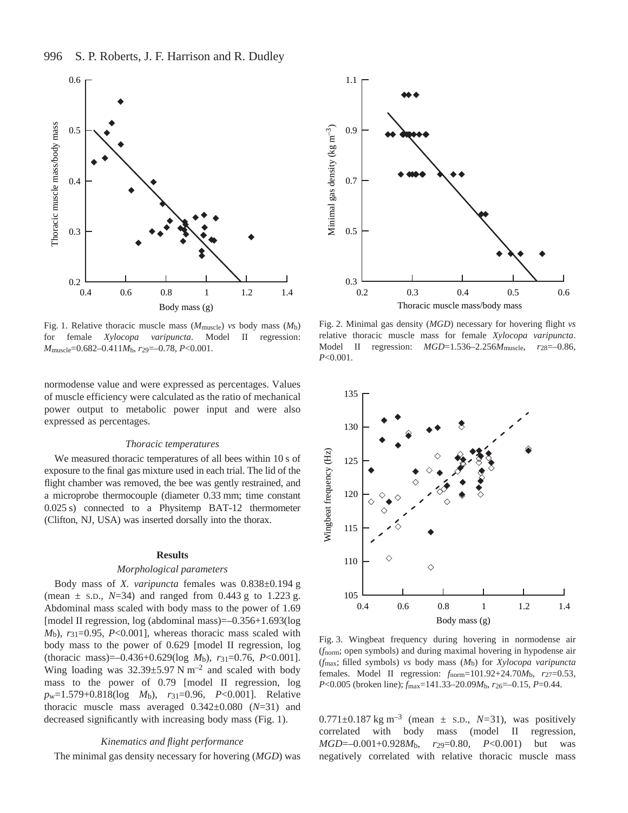



Fig. 1. Relative thoracic muscle mass ( $M_{\text{muscle}}$ ) *vs* body mass ( $M_{\text{b}}$ ) for female *Xylocopa varipuncta*. Model II regression: *M*muscle=0.682–0.411*M*b, *r*29=–0.78, *P*<0.001.

normodense value and were expressed as percentages. Values of muscle efficiency were calculated as the ratio of mechanical power output to metabolic power input and were also expressed as percentages.

#### *Thoracic temperatures*

We measured thoracic temperatures of all bees within 10 s of exposure to the final gas mixture used in each trial. The lid of the flight chamber was removed, the bee was gently restrained, and a microprobe thermocouple (diameter 0.33 mm; time constant 0.025 s) connected to a Physitemp BAT-12 thermometer (Clifton, NJ, USA) was inserted dorsally into the thorax.

#### **Results**

#### *Morphological parameters*

Body mass of *X. varipuncta* females was 0.838±0.194·g (mean  $\pm$  s.D., *N*=34) and ranged from 0.443 g to 1.223 g. Abdominal mass scaled with body mass to the power of 1.69 [model II regression, log (abdominal mass)=–0.356+1.693(log *M*b), *r*31=0.95, *P*<0.001], whereas thoracic mass scaled with body mass to the power of 0.629 [model II regression, log (thoracic mass)=–0.436+0.629(log *M*b), *r*31=0.76, *P*<0.001]. Wing loading was  $32.39 \pm 5.97$  N m<sup>-2</sup> and scaled with body mass to the power of 0.79 [model II regression, log *p*w=1.579+0.818(log *M*b), *r*31=0.96, *P*<0.001]. Relative thoracic muscle mass averaged 0.342±0.080 (*N*=31) and decreased significantly with increasing body mass (Fig. 1).

#### *Kinematics and flight performance*

The minimal gas density necessary for hovering (*MGD*) was



Fig. 2. Minimal gas density (*MGD*) necessary for hovering flight *vs* relative thoracic muscle mass for female *Xylocopa varipuncta*. Model II regression: *MGD*=1.536–2.256*M*muscle, *r*28=–0.86, *P*<0.001.



Fig. 3. Wingbeat frequency during hovering in normodense air (*f*norm; open symbols) and during maximal hovering in hypodense air (*f*max; filled symbols) *vs* body mass (*M*b) for *Xylocopa varipuncta* females. Model II regression: *f*norm=101.92+24.70*M*b, *r*27=0.53, *P*<0.005 (broken line); *f*max=141.33–20.09*M*b, *r*26=–0.15, *P*=0.44.

0.771±0.187 kg m<sup>-3</sup> (mean  $\pm$  s.D., *N*=31), was positively correlated with body mass (model II regression, *MGD*=–0.001+0.928*M*b, *r*29=0.80, *P*<0.001) but was negatively correlated with relative thoracic muscle mass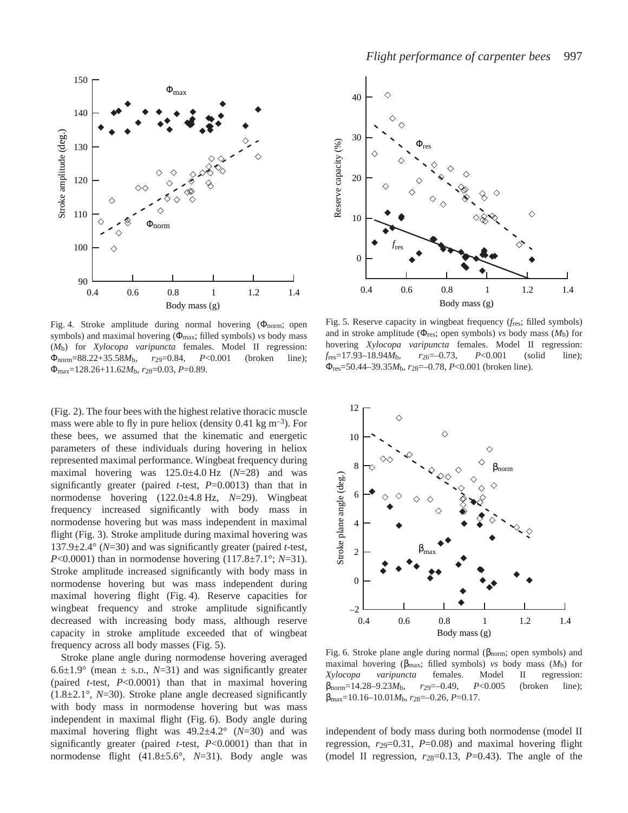

Fig. 4. Stroke amplitude during normal hovering  $(\Phi_{\text{norm}};$  open symbols) and maximal hovering (Φmax; filled symbols) *vs* body mass (*M*b) for *Xylocopa varipuncta* females. Model II regression: Φnorm=88.22+35.58*M*b, *r*29=0.84, *P*<0.001 (broken line); Φmax=128.26+11.62*M*b, *r*28=0.03, *P*=0.89.

(Fig. 2). The four bees with the highest relative thoracic muscle mass were able to fly in pure heliox (density 0.41 kg  $\text{m}^{-3}$ ). For these bees, we assumed that the kinematic and energetic parameters of these individuals during hovering in heliox represented maximal performance. Wingbeat frequency during maximal hovering was  $125.0\pm4.0$  Hz  $(N=28)$  and was significantly greater (paired *t*-test, *P*=0.0013) than that in normodense hovering  $(122.0\pm4.8 \text{ Hz}, N=29)$ . Wingbeat frequency increased significantly with body mass in normodense hovering but was mass independent in maximal flight (Fig. 3). Stroke amplitude during maximal hovering was 137.9±2.4° (*N*=30) and was significantly greater (paired *t*-test, *P*<0.0001) than in normodense hovering (117.8±7.1°; *N*=31). Stroke amplitude increased significantly with body mass in normodense hovering but was mass independent during maximal hovering flight (Fig. 4). Reserve capacities for wingbeat frequency and stroke amplitude significantly decreased with increasing body mass, although reserve capacity in stroke amplitude exceeded that of wingbeat frequency across all body masses (Fig. 5).

Stroke plane angle during normodense hovering averaged 6.6 $\pm$ 1.9° (mean  $\pm$  s.D., *N*=31) and was significantly greater (paired *t*-test, *P*<0.0001) than that in maximal hovering (1.8±2.1°, *N*=30). Stroke plane angle decreased significantly with body mass in normodense hovering but was mass independent in maximal flight (Fig. 6). Body angle during maximal hovering flight was 49.2±4.2° (*N*=30) and was significantly greater (paired *t*-test, *P*<0.0001) than that in normodense flight (41.8±5.6°, *N*=31). Body angle was



Fig. 5. Reserve capacity in wingbeat frequency ( $f_{res}$ ; filled symbols) and in stroke amplitude (Φres; open symbols) *vs* body mass (*M*b) for hovering *Xylocopa varipuncta* females. Model II regression: *f*res=17.93–18.94*M*b, *r*26=–0.73, *P*<0.001 (solid line); Φres=50.44–39.35*M*b, *r*28=–0.78, *P*<0.001 (broken line).



Fig. 6. Stroke plane angle during normal ( $\beta$ <sub>norm</sub>; open symbols) and maximal hovering (βmax; filled symbols) *vs* body mass (*M*b) for *Xylocopa varipuncta* females. Model II regression: βnorm=14.28–9.23*M*b, *r*29=–0.49, *P*<0.005 (broken line); βmax=10.16–10.01*M*b, *r*28=–0.26, *P*=0.17.

independent of body mass during both normodense (model II regression, *r*29=0.31, *P*=0.08) and maximal hovering flight (model II regression,  $r_{28}=0.13$ ,  $P=0.43$ ). The angle of the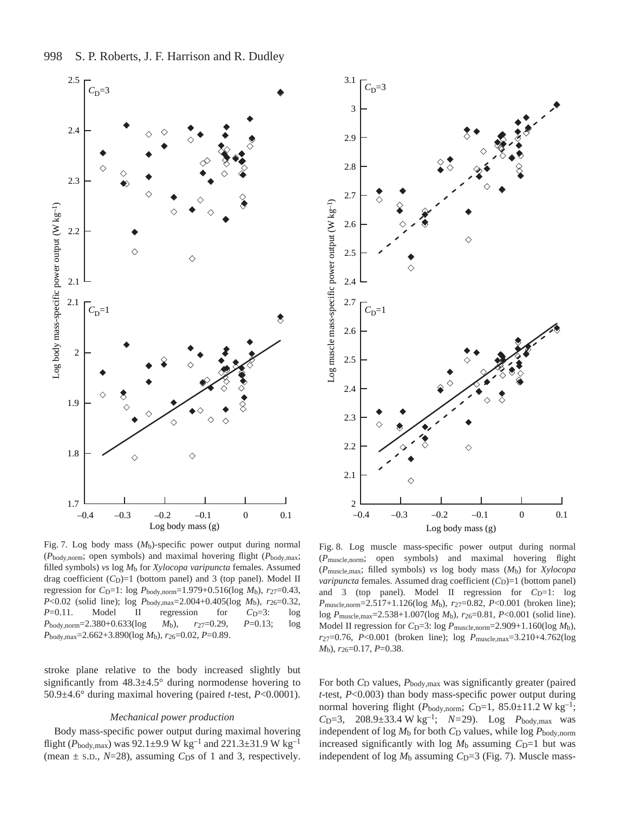

Fig. 7. Log body mass  $(M_b)$ -specific power output during normal (*P*body,norm; open symbols) and maximal hovering flight (*P*body,max; filled symbols) *vs* log *M*b for *Xylocopa varipuncta* females. Assumed drag coefficient  $(C_D)=1$  (bottom panel) and 3 (top panel). Model II regression for *C*<sub>D</sub>=1: log *P*<sub>body,norm=1.979+0.516(log *M*<sub>b</sub>), *r*<sub>27</sub>=0.43,</sub> *P*<0.02 (solid line); log *P*body,max=2.004+0.405(log *M*b), *r*26=0.32, *P*=0.11. Model II regression for *C*<sub>D</sub>=3: log *P*body,norm=2.380+0.633(log *M*b), *r*27=0.29, *P*=0.13; log *P*body,max=2.662+3.890(log *M*b), *r*26=0.02, *P*=0.89.

stroke plane relative to the body increased slightly but significantly from  $48.3\pm4.5^{\circ}$  during normodense hovering to 50.9±4.6° during maximal hovering (paired *t*-test, *P*<0.0001).

#### *Mechanical power production*

Body mass-specific power output during maximal hovering flight ( $P_{\text{body,max}}$ ) was 92.1±9.9 W kg<sup>-1</sup> and 221.3±31.9 W kg<sup>-1</sup> (mean  $\pm$  s.p.,  $N=28$ ), assuming  $C<sub>DS</sub>$  of 1 and 3, respectively.



Fig. 8. Log muscle mass-specific power output during normal (*P*muscle,norm; open symbols) and maximal hovering flight (*P*muscle,max; filled symbols) *vs* log body mass (*M*b) for *Xylocopa varipuncta* females. Assumed drag coefficient (*C*<sub>D</sub>)=1 (bottom panel) and 3 (top panel). Model II regression for  $C_D=1$ : log *P*muscle,norm=2.517+1.126(log *M*b), *r*27=0.82, *P*<0.001 (broken line); log *P*muscle,max=2.538+1.007(log *M*b), *r*26=0.81, *P*<0.001 (solid line). Model II regression for  $C_D=3$ : log  $P_{\text{muscle, norm}}=2.909+1.160(\log M_b)$ , *r*27=0.76, *P*<0.001 (broken line); log *P*muscle,max=3.210+4.762(log *M*b), *r*26=0.17, *P*=0.38.

For both *C*<sub>D</sub> values, *P*<sub>body,max</sub> was significantly greater (paired *t*-test, *P*<0.003) than body mass-specific power output during normal hovering flight ( $P_{\text{body,norm}}$ ;  $C_{\text{D}}=1$ , 85.0 $\pm$ 11.2 W kg<sup>-1</sup>; *C*<sub>D</sub>=3, 208.9 $\pm$ 33.4 W kg<sup>-1</sup>; *N*=29). Log *P*<sub>body,max</sub> was independent of  $log M<sub>b</sub>$  for both  $C<sub>D</sub>$  values, while  $log P<sub>body,norm</sub>$ increased significantly with log  $M<sub>b</sub>$  assuming  $C<sub>D</sub>=1$  but was independent of  $log M_b$  assuming  $C_D=3$  (Fig. 7). Muscle mass-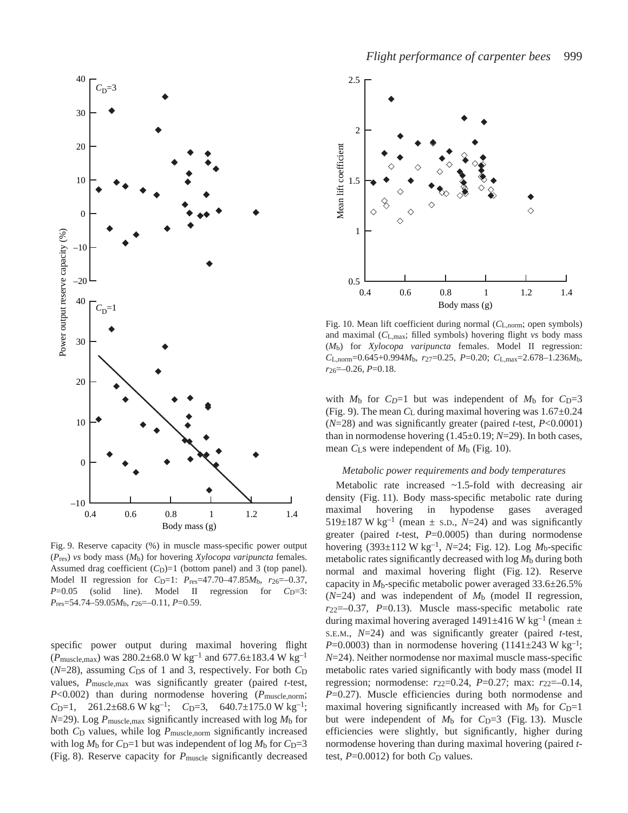

Fig. 9. Reserve capacity (%) in muscle mass-specific power output (*P*res) *vs* body mass (*M*b) for hovering *Xylocopa varipuncta* females. Assumed drag coefficient  $(C_D)=1$  (bottom panel) and 3 (top panel). Model II regression for *C*<sub>D</sub>=1: *P*<sub>res</sub>=47.70–47.85*M*<sub>b</sub>, *r*<sub>26</sub>=-0.37, *P*=0.05 (solid line). Model II regression for *C*<sub>D</sub>=3: *P*res=54.74–59.05*M*b, *r*26=–0.11, *P*=0.59.

specific power output during maximal hovering flight  $(P_{\text{muscle,max}})$  was 280.2 $\pm$ 68.0 W kg<sup>-1</sup> and 677.6 $\pm$ 183.4 W kg<sup>-1</sup>  $(N=28)$ , assuming  $C<sub>DS</sub>$  of 1 and 3, respectively. For both  $C<sub>D</sub>$ values, *P*muscle,max was significantly greater (paired *t*-test, *P*<0.002) than during normodense hovering (*P*muscle,norm;  $C_{\text{D}}=1$ , 261.2±68.6 W kg<sup>-1</sup>;  $C_{\text{D}}=3$ , 640.7±175.0 W kg<sup>-1</sup>;  $N=29$ ). Log  $P_{\text{muscle,max}}$  significantly increased with log  $M_{\text{b}}$  for both *C*<sub>D</sub> values, while log *P*<sub>muscle,norm</sub> significantly increased with  $\log M_b$  for *C*<sub>D</sub>=1 but was independent of  $\log M_b$  for *C*<sub>D</sub>=3 (Fig. 8). Reserve capacity for *P*<sub>muscle</sub> significantly decreased



Fig. 10. Mean lift coefficient during normal ( $C_{L,norm}$ ; open symbols) and maximal (*C*L,max; filled symbols) hovering flight *vs* body mass (*M*b) for *Xylocopa varipuncta* females. Model II regression: *C*L,norm=0.645+0.994*M*b, *r*27=0.25, *P*=0.20; *C*L,max=2.678–1.236*M*b, *r*26=–0.26, *P*=0.18.

with  $M_b$  for  $C_D=1$  but was independent of  $M_b$  for  $C_D=3$ (Fig. 9). The mean  $C_{\rm L}$  during maximal hovering was  $1.67±0.24$ (*N*=28) and was significantly greater (paired *t*-test, *P*<0.0001) than in normodense hovering (1.45±0.19; *N*=29). In both cases, mean  $C_{\text{LS}}$  were independent of  $M_{\text{b}}$  (Fig. 10).

#### *Metabolic power requirements and body temperatures*

Metabolic rate increased ~1.5-fold with decreasing air density (Fig. 11). Body mass-specific metabolic rate during maximal hovering in hypodense gases averaged 519 $\pm$ 187 W kg<sup>-1</sup> (mean  $\pm$  s.D., *N*=24) and was significantly greater (paired *t*-test, *P*=0.0005) than during normodense hovering  $(393\pm112 \text{ W kg}^{-1}, N=24; \text{Fig. 12}).$  Log  $M_b$ -specific metabolic rates significantly decreased with log *M*b during both normal and maximal hovering flight (Fig. 12). Reserve capacity in *M*b-specific metabolic power averaged 33.6±26.5%  $(N=24)$  and was independent of  $M<sub>b</sub>$  (model II regression, *r*22=–0.37, *P*=0.13). Muscle mass-specific metabolic rate during maximal hovering averaged 1491±416 W $\text{kg}^{-1}$  (mean  $\pm$ S.E.M., *N*=24) and was significantly greater (paired *t*-test, *P*=0.0003) than in normodense hovering  $(1141\pm243 \text{ W kg}^{-1})$ ; *N*=24). Neither normodense nor maximal muscle mass-specific metabolic rates varied significantly with body mass (model II regression; normodense: *r*22=0.24, *P*=0.27; max: *r*22=–0.14, *P*=0.27). Muscle efficiencies during both normodense and maximal hovering significantly increased with  $M<sub>b</sub>$  for  $C<sub>D</sub>=1$ but were independent of  $M_b$  for  $C_D=3$  (Fig. 13). Muscle efficiencies were slightly, but significantly, higher during normodense hovering than during maximal hovering (paired *t*test,  $P=0.0012$ ) for both  $C<sub>D</sub>$  values.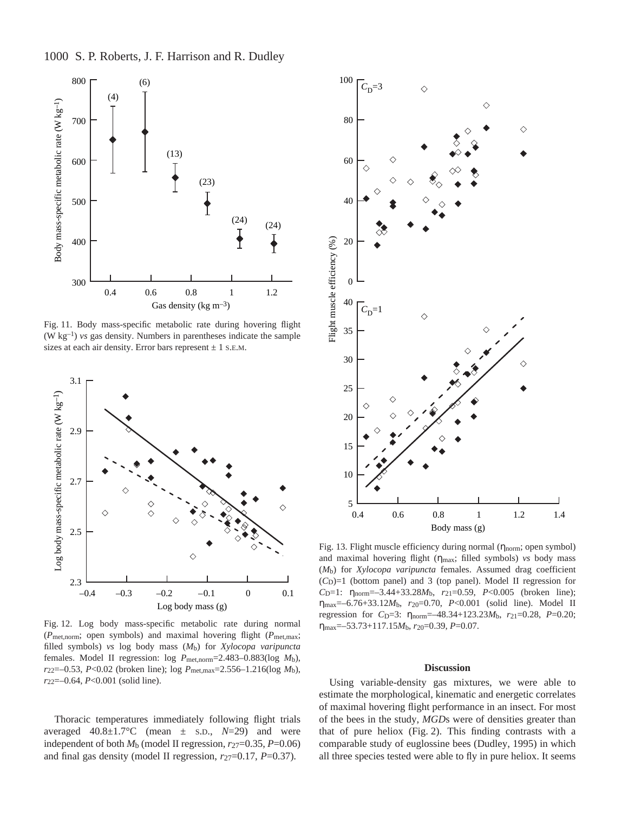1000 S. P. Roberts, J. F. Harrison and R. Dudley



Fig. 11. Body mass-specific metabolic rate during hovering flight  $(W \text{ kg}^{-1})$  *vs* gas density. Numbers in parentheses indicate the sample sizes at each air density. Error bars represent  $\pm$  1 s.e.m.



Fig. 12. Log body mass-specific metabolic rate during normal (*P*met,norm; open symbols) and maximal hovering flight (*P*met,max; filled symbols) *vs* log body mass (*M*b) for *Xylocopa varipuncta* females. Model II regression: log *P*met,norm=2.483–0.883(log *M*b), *r*22=–0.53, *P*<0.02 (broken line); log *P*met,max=2.556–1.216(log *M*b), *r*22=–0.64, *P*<0.001 (solid line).

Thoracic temperatures immediately following flight trials averaged  $40.8 \pm 1.7$ °C (mean  $\pm$  s.D.,  $N=29$ ) and were independent of both  $M_b$  (model II regression,  $r_{27}=0.35$ ,  $P=0.06$ ) and final gas density (model II regression, *r*27=0.17, *P*=0.37).



Fig. 13. Flight muscle efficiency during normal  $(\eta_{norm};$  open symbol) and maximal hovering flight (ηmax; filled symbols) *vs* body mass (*M*b) for *Xylocopa varipuncta* females. Assumed drag coefficient  $(C<sub>D</sub>)=1$  (bottom panel) and 3 (top panel). Model II regression for *C*D=1: ηnorm=–3.44+33.28*M*b, *r*21=0.59, *P*<0.005 (broken line);  $η<sub>max</sub>=-6.76+33.12M<sub>b</sub>, r<sub>20</sub>=0.70, P<0.001$  (solid line). Model II regression for *C*<sub>D</sub>=3: η<sub>norm</sub>=-48.34+123.23*M*<sub>b</sub>, *r*<sub>21</sub>=0.28, *P*=0.20; ηmax=–53.73+117.15*M*b, *r*20=0.39, *P*=0.07.

#### **Discussion**

Using variable-density gas mixtures, we were able to estimate the morphological, kinematic and energetic correlates of maximal hovering flight performance in an insect. For most of the bees in the study, *MGD*s were of densities greater than that of pure heliox (Fig. 2). This finding contrasts with a comparable study of euglossine bees (Dudley, 1995) in which all three species tested were able to fly in pure heliox. It seems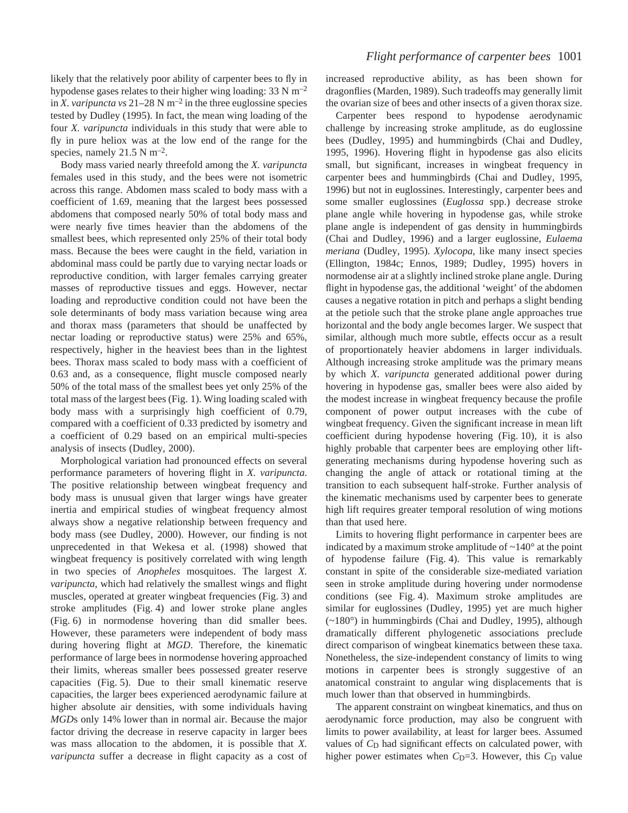likely that the relatively poor ability of carpenter bees to fly in hypodense gases relates to their higher wing loading:  $33 \text{ N m}^{-2}$ in *X. varipuncta vs* 21–28 N  $m^{-2}$  in the three euglossine species tested by Dudley (1995). In fact, the mean wing loading of the four *X. varipuncta* individuals in this study that were able to fly in pure heliox was at the low end of the range for the species, namely  $21.5 \text{ N m}^{-2}$ .

Body mass varied nearly threefold among the *X. varipuncta* females used in this study, and the bees were not isometric across this range. Abdomen mass scaled to body mass with a coefficient of 1.69, meaning that the largest bees possessed abdomens that composed nearly 50% of total body mass and were nearly five times heavier than the abdomens of the smallest bees, which represented only 25% of their total body mass. Because the bees were caught in the field, variation in abdominal mass could be partly due to varying nectar loads or reproductive condition, with larger females carrying greater masses of reproductive tissues and eggs. However, nectar loading and reproductive condition could not have been the sole determinants of body mass variation because wing area and thorax mass (parameters that should be unaffected by nectar loading or reproductive status) were 25% and 65%, respectively, higher in the heaviest bees than in the lightest bees. Thorax mass scaled to body mass with a coefficient of 0.63 and, as a consequence, flight muscle composed nearly 50% of the total mass of the smallest bees yet only 25% of the total mass of the largest bees (Fig. 1). Wing loading scaled with body mass with a surprisingly high coefficient of 0.79, compared with a coefficient of 0.33 predicted by isometry and a coefficient of 0.29 based on an empirical multi-species analysis of insects (Dudley, 2000).

Morphological variation had pronounced effects on several performance parameters of hovering flight in *X. varipuncta*. The positive relationship between wingbeat frequency and body mass is unusual given that larger wings have greater inertia and empirical studies of wingbeat frequency almost always show a negative relationship between frequency and body mass (see Dudley, 2000). However, our finding is not unprecedented in that Wekesa et al. (1998) showed that wingbeat frequency is positively correlated with wing length in two species of *Anopheles* mosquitoes. The largest *X. varipuncta*, which had relatively the smallest wings and flight muscles, operated at greater wingbeat frequencies (Fig. 3) and stroke amplitudes (Fig. 4) and lower stroke plane angles (Fig. 6) in normodense hovering than did smaller bees. However, these parameters were independent of body mass during hovering flight at *MGD*. Therefore, the kinematic performance of large bees in normodense hovering approached their limits, whereas smaller bees possessed greater reserve capacities (Fig. 5). Due to their small kinematic reserve capacities, the larger bees experienced aerodynamic failure at higher absolute air densities, with some individuals having *MGD*s only 14% lower than in normal air. Because the major factor driving the decrease in reserve capacity in larger bees was mass allocation to the abdomen, it is possible that *X. varipuncta* suffer a decrease in flight capacity as a cost of increased reproductive ability, as has been shown for dragonflies (Marden, 1989). Such tradeoffs may generally limit the ovarian size of bees and other insects of a given thorax size.

Carpenter bees respond to hypodense aerodynamic challenge by increasing stroke amplitude, as do euglossine bees (Dudley, 1995) and hummingbirds (Chai and Dudley, 1995, 1996). Hovering flight in hypodense gas also elicits small, but significant, increases in wingbeat frequency in carpenter bees and hummingbirds (Chai and Dudley, 1995, 1996) but not in euglossines. Interestingly, carpenter bees and some smaller euglossines (*Euglossa* spp.) decrease stroke plane angle while hovering in hypodense gas, while stroke plane angle is independent of gas density in hummingbirds (Chai and Dudley, 1996) and a larger euglossine, *Eulaema meriana* (Dudley, 1995). *Xylocopa*, like many insect species (Ellington, 1984c; Ennos, 1989; Dudley, 1995) hovers in normodense air at a slightly inclined stroke plane angle. During flight in hypodense gas, the additional 'weight' of the abdomen causes a negative rotation in pitch and perhaps a slight bending at the petiole such that the stroke plane angle approaches true horizontal and the body angle becomes larger. We suspect that similar, although much more subtle, effects occur as a result of proportionately heavier abdomens in larger individuals. Although increasing stroke amplitude was the primary means by which *X. varipuncta* generated additional power during hovering in hypodense gas, smaller bees were also aided by the modest increase in wingbeat frequency because the profile component of power output increases with the cube of wingbeat frequency. Given the significant increase in mean lift coefficient during hypodense hovering  $(Fig. 10)$ , it is also highly probable that carpenter bees are employing other liftgenerating mechanisms during hypodense hovering such as changing the angle of attack or rotational timing at the transition to each subsequent half-stroke. Further analysis of the kinematic mechanisms used by carpenter bees to generate high lift requires greater temporal resolution of wing motions than that used here.

Limits to hovering flight performance in carpenter bees are indicated by a maximum stroke amplitude of  $\sim$ 140 $\degree$  at the point of hypodense failure (Fig. 4). This value is remarkably constant in spite of the considerable size-mediated variation seen in stroke amplitude during hovering under normodense conditions (see Fig. 4). Maximum stroke amplitudes are similar for euglossines (Dudley, 1995) yet are much higher (~180°) in hummingbirds (Chai and Dudley, 1995), although dramatically different phylogenetic associations preclude direct comparison of wingbeat kinematics between these taxa. Nonetheless, the size-independent constancy of limits to wing motions in carpenter bees is strongly suggestive of an anatomical constraint to angular wing displacements that is much lower than that observed in hummingbirds.

The apparent constraint on wingbeat kinematics, and thus on aerodynamic force production, may also be congruent with limits to power availability, at least for larger bees. Assumed values of  $C<sub>D</sub>$  had significant effects on calculated power, with higher power estimates when *C*<sub>D</sub>=3. However, this *C*<sub>D</sub> value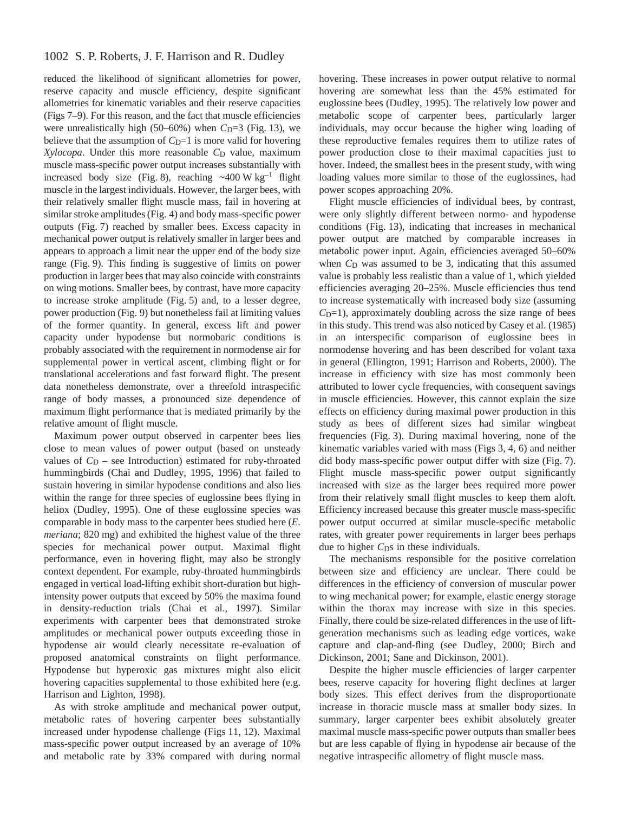reduced the likelihood of significant allometries for power, reserve capacity and muscle efficiency, despite significant allometries for kinematic variables and their reserve capacities (Figs·7–9). For this reason, and the fact that muscle efficiencies were unrealistically high (50–60%) when  $C_D=3$  (Fig. 13), we believe that the assumption of  $C<sub>D</sub>=1$  is more valid for hovering *Xylocopa*. Under this more reasonable *C*<sub>D</sub> value, maximum muscle mass-specific power output increases substantially with increased body size (Fig. 8), reaching  $\sim$  400 W kg<sup>-1</sup> flight muscle in the largest individuals. However, the larger bees, with their relatively smaller flight muscle mass, fail in hovering at similar stroke amplitudes (Fig. 4) and body mass-specific power outputs (Fig. 7) reached by smaller bees. Excess capacity in mechanical power output is relatively smaller in larger bees and appears to approach a limit near the upper end of the body size range (Fig. 9). This finding is suggestive of limits on power production in larger bees that may also coincide with constraints on wing motions. Smaller bees, by contrast, have more capacity to increase stroke amplitude (Fig. 5) and, to a lesser degree, power production (Fig. 9) but nonetheless fail at limiting values of the former quantity. In general, excess lift and power capacity under hypodense but normobaric conditions is probably associated with the requirement in normodense air for supplemental power in vertical ascent, climbing flight or for translational accelerations and fast forward flight. The present data nonetheless demonstrate, over a threefold intraspecific range of body masses, a pronounced size dependence of maximum flight performance that is mediated primarily by the relative amount of flight muscle.

Maximum power output observed in carpenter bees lies close to mean values of power output (based on unsteady values of  $C_D$  – see Introduction) estimated for ruby-throated hummingbirds (Chai and Dudley, 1995, 1996) that failed to sustain hovering in similar hypodense conditions and also lies within the range for three species of euglossine bees flying in heliox (Dudley, 1995). One of these euglossine species was comparable in body mass to the carpenter bees studied here (*E. meriana*; 820 mg) and exhibited the highest value of the three species for mechanical power output. Maximal flight performance, even in hovering flight, may also be strongly context dependent. For example, ruby-throated hummingbirds engaged in vertical load-lifting exhibit short-duration but highintensity power outputs that exceed by 50% the maxima found in density-reduction trials (Chai et al., 1997). Similar experiments with carpenter bees that demonstrated stroke amplitudes or mechanical power outputs exceeding those in hypodense air would clearly necessitate re-evaluation of proposed anatomical constraints on flight performance. Hypodense but hyperoxic gas mixtures might also elicit hovering capacities supplemental to those exhibited here (e.g. Harrison and Lighton, 1998).

As with stroke amplitude and mechanical power output, metabolic rates of hovering carpenter bees substantially increased under hypodense challenge (Figs 11, 12). Maximal mass-specific power output increased by an average of 10% and metabolic rate by 33% compared with during normal hovering. These increases in power output relative to normal hovering are somewhat less than the 45% estimated for euglossine bees (Dudley, 1995). The relatively low power and metabolic scope of carpenter bees, particularly larger individuals, may occur because the higher wing loading of these reproductive females requires them to utilize rates of power production close to their maximal capacities just to hover. Indeed, the smallest bees in the present study, with wing loading values more similar to those of the euglossines, had power scopes approaching 20%.

Flight muscle efficiencies of individual bees, by contrast, were only slightly different between normo- and hypodense conditions (Fig. 13), indicating that increases in mechanical power output are matched by comparable increases in metabolic power input. Again, efficiencies averaged 50–60% when  $C<sub>D</sub>$  was assumed to be 3, indicating that this assumed value is probably less realistic than a value of 1, which yielded efficiencies averaging 20–25%. Muscle efficiencies thus tend to increase systematically with increased body size (assuming *C*<sub>D</sub>=1), approximately doubling across the size range of bees in this study. This trend was also noticed by Casey et al. (1985) in an interspecific comparison of euglossine bees in normodense hovering and has been described for volant taxa in general (Ellington, 1991; Harrison and Roberts, 2000). The increase in efficiency with size has most commonly been attributed to lower cycle frequencies, with consequent savings in muscle efficiencies. However, this cannot explain the size effects on efficiency during maximal power production in this study as bees of different sizes had similar wingbeat frequencies (Fig. 3). During maximal hovering, none of the kinematic variables varied with mass (Figs  $3, 4, 6$ ) and neither did body mass-specific power output differ with size (Fig. 7). Flight muscle mass-specific power output significantly increased with size as the larger bees required more power from their relatively small flight muscles to keep them aloft. Efficiency increased because this greater muscle mass-specific power output occurred at similar muscle-specific metabolic rates, with greater power requirements in larger bees perhaps due to higher C<sub>DS</sub> in these individuals.

The mechanisms responsible for the positive correlation between size and efficiency are unclear. There could be differences in the efficiency of conversion of muscular power to wing mechanical power; for example, elastic energy storage within the thorax may increase with size in this species. Finally, there could be size-related differences in the use of liftgeneration mechanisms such as leading edge vortices, wake capture and clap-and-fling (see Dudley, 2000; Birch and Dickinson, 2001; Sane and Dickinson, 2001).

Despite the higher muscle efficiencies of larger carpenter bees, reserve capacity for hovering flight declines at larger body sizes. This effect derives from the disproportionate increase in thoracic muscle mass at smaller body sizes. In summary, larger carpenter bees exhibit absolutely greater maximal muscle mass-specific power outputs than smaller bees but are less capable of flying in hypodense air because of the negative intraspecific allometry of flight muscle mass.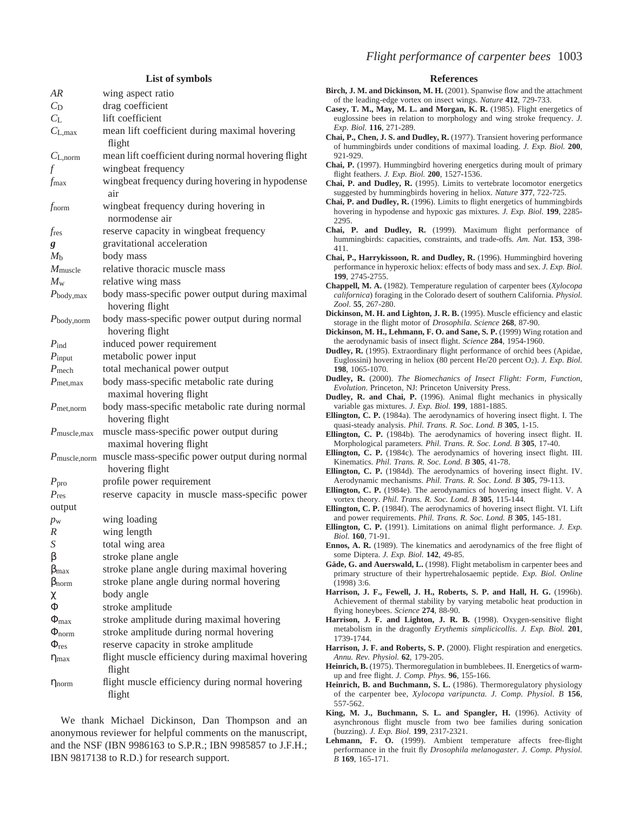## **List of symbols**

| AR                             | wing aspect ratio                                                   |  |  |
|--------------------------------|---------------------------------------------------------------------|--|--|
| $C_{\rm D}$                    | drag coefficient                                                    |  |  |
| $C_{\rm L}$                    | lift coefficient                                                    |  |  |
| $C_{L, max}$                   | mean lift coefficient during maximal hovering<br>flight             |  |  |
| $C_{L, norm}$                  | mean lift coefficient during normal hovering flight                 |  |  |
|                                | wingbeat frequency                                                  |  |  |
| fmax                           | wingbeat frequency during hovering in hypodense<br>air              |  |  |
| $f_{\rm norm}$                 | wingbeat frequency during hovering in<br>normodense air             |  |  |
| $f_{\rm res}$                  | reserve capacity in wingbeat frequency                              |  |  |
| g                              | gravitational acceleration                                          |  |  |
| $M_{\rm b}$                    | body mass                                                           |  |  |
| $M_{\rm muscle}$               | relative thoracic muscle mass                                       |  |  |
| $M_{\rm w}$                    | relative wing mass                                                  |  |  |
| $P_{\text{body,max}}$          | body mass-specific power output during maximal<br>hovering flight   |  |  |
| $P_{\text{body}, \text{norm}}$ | body mass-specific power output during normal<br>hovering flight    |  |  |
| $P_{\text{ind}}$               | induced power requirement                                           |  |  |
| $P_{\text{input}}$             | metabolic power input                                               |  |  |
| $P$ <sub>mech</sub>            | total mechanical power output                                       |  |  |
| $P_{\text{met,max}}$           | body mass-specific metabolic rate during                            |  |  |
|                                | maximal hovering flight                                             |  |  |
| $P_{\text{met}, \text{norm}}$  | body mass-specific metabolic rate during normal<br>hovering flight  |  |  |
| $P_{\text{muscle,max}}$        | muscle mass-specific power output during<br>maximal hovering flight |  |  |
| $P_{\text{muscle, norm}}$      | muscle mass-specific power output during normal<br>hovering flight  |  |  |
| $P_{\text{pro}}$               | profile power requirement                                           |  |  |
| $P_{\text{res}}$               | reserve capacity in muscle mass-specific power                      |  |  |
| output                         |                                                                     |  |  |
| $p_{\rm w}$                    | wing loading                                                        |  |  |
| $\boldsymbol{R}$               | wing length                                                         |  |  |
| S                              | total wing area                                                     |  |  |
| β                              | stroke plane angle                                                  |  |  |
| $\beta_{max}$                  | stroke plane angle during maximal hovering                          |  |  |
| $\beta_{norm}$                 | stroke plane angle during normal hovering                           |  |  |
| χ                              | body angle                                                          |  |  |
| Φ                              | stroke amplitude                                                    |  |  |
| $\Phi_{max}$                   | stroke amplitude during maximal hovering                            |  |  |
| $\Phi_{norm}$                  | stroke amplitude during normal hovering                             |  |  |
| $\Phi_{\textrm{res}}$          | reserve capacity in stroke amplitude                                |  |  |
| $\eta_{\text{max}}$            | flight muscle efficiency during maximal hovering<br>flight          |  |  |
| $\eta_{norm}$                  | flight muscle efficiency during normal hovering<br>flight           |  |  |

We thank Michael Dickinson, Dan Thompson and an anonymous reviewer for helpful comments on the manuscript, and the NSF (IBN 9986163 to S.P.R.; IBN 9985857 to J.F.H.; IBN 9817138 to R.D.) for research support.

#### **References**

- **Birch, J. M. and Dickinson, M. H.** (2001). Spanwise flow and the attachment of the leading-edge vortex on insect wings. *Nature* **412**, 729-733.
- **Casey, T. M., May, M. L. and Morgan, K. R.** (1985). Flight energetics of euglossine bees in relation to morphology and wing stroke frequency. *J. Exp. Biol.* **116**, 271-289.
- **Chai, P., Chen, J. S. and Dudley, R.** (1977). Transient hovering performance of hummingbirds under conditions of maximal loading. *J. Exp. Biol.* **200**, 921-929.
- **Chai, P.** (1997). Hummingbird hovering energetics during moult of primary flight feathers. *J. Exp. Biol.* **200**, 1527-1536.
- **Chai, P. and Dudley, R.** (1995). Limits to vertebrate locomotor energetics suggested by hummingbirds hovering in heliox. *Nature* **377**, 722-725.
- **Chai, P. and Dudley, R.** (1996). Limits to flight energetics of hummingbirds hovering in hypodense and hypoxic gas mixtures. *J. Exp. Biol.* **199**, 2285- 2295.
- Chai, P. and Dudley, R. (1999). Maximum flight performance of hummingbirds: capacities, constraints, and trade-offs. *Am. Nat.* **153**, 398- 411.
- **Chai, P., Harrykissoon, R. and Dudley, R.** (1996). Hummingbird hovering performance in hyperoxic heliox: effects of body mass and sex. *J. Exp. Biol.* **199**, 2745-2755.
- **Chappell, M. A.** (1982). Temperature regulation of carpenter bees (*Xylocopa californica*) foraging in the Colorado desert of southern California. *Physiol. Zool*. **55**, 267-280.
- **Dickinson, M. H. and Lighton, J. R. B.** (1995). Muscle efficiency and elastic storage in the flight motor of *Drosophila*. *Science* **268**, 87-90.
- **Dickinson, M. H., Lehmann, F. O. and Sane, S. P.** (1999) Wing rotation and the aerodynamic basis of insect flight. *Science* **284**, 1954-1960.
- **Dudley, R.** (1995). Extraordinary flight performance of orchid bees (Apidae, Euglossini) hovering in heliox (80 percent He/20 percent O2). *J. Exp. Biol.* **198**, 1065-1070.
- **Dudley, R.** (2000). *The Biomechanics of Insect Flight: Form, Function, Evolution*. Princeton, NJ: Princeton University Press.
- **Dudley, R. and Chai, P.** (1996). Animal flight mechanics in physically variable gas mixtures. *J. Exp. Biol.* **199**, 1881-1885.
- **Ellington, C. P.** (1984a). The aerodynamics of hovering insect flight. I. The quasi-steady analysis. *Phil. Trans. R. Soc. Lond. B* **305**, 1-15.
- **Ellington, C. P.** (1984b). The aerodynamics of hovering insect flight. II. Morphological parameter*s. Phil. Trans. R. Soc. Lond. B* **305**, 17-40.
- **Ellington, C. P.** (1984c). The aerodynamics of hovering insect flight. III. Kinematics. *Phil. Trans. R. Soc. Lond. B* **305**, 41-78.
- **Ellington, C. P.** (1984d). The aerodynamics of hovering insect flight. IV. Aerodynamic mechanism*s. Phil. Trans. R. Soc. Lond. B* **305**, 79-113.
- **Ellington, C. P.** (1984e). The aerodynamics of hovering insect flight. V. A vortex theory. *Phil. Trans. R. Soc. Lond. B* **305**, 115-144.
- **Ellington, C. P.** (1984f). The aerodynamics of hovering insect flight. VI. Lift and power requirements. *Phil. Trans. R. Soc. Lond. B* **305**, 145-181.
- **Ellington, C. P.** (1991). Limitations on animal flight performance. *J. Exp. Biol.* **160**, 71-91.
- **Ennos, A. R.** (1989). The kinematics and aerodynamics of the free flight of some Diptera. *J. Exp. Biol.* **142**, 49-85.
- **Gäde, G. and Auerswald, L.** (1998). Flight metabolism in carpenter bees and primary structure of their hypertrehalosaemic peptide. *Exp. Biol. Online* (1998) 3:6.
- **Harrison, J. F., Fewell, J. H., Roberts, S. P. and Hall, H. G.** (1996b). Achievement of thermal stability by varying metabolic heat production in flying honeybees. *Science* **274**, 88-90.
- Harrison, J. F. and Lighton, J. R. B. (1998). Oxygen-sensitive flight metabolism in the dragonfly *Erythemis simplicicollis*. *J. Exp. Biol.* **201**, 1739-1744.
- Harrison, J. F. and Roberts, S. P. (2000). Flight respiration and energetics. *Annu. Rev. Physiol.* **62**, 179-205.
- Heinrich, B. (1975). Thermoregulation in bumblebees. II. Energetics of warmup and free flight. *J. Comp. Phys.* **96**, 155-166.
- **Heinrich, B. and Buchmann, S. L.** (1986). Thermoregulatory physiology of the carpenter bee, *Xylocopa varipuncta. J. Comp. Physiol. B* **156**, 557-562.
- **King, M. J., Buchmann, S. L. and Spangler, H.** (1996). Activity of asynchronous flight muscle from two bee families during sonication (buzzing). *J. Exp. Biol.* **199**, 2317-2321.
- **Lehmann, F. O.** (1999). Ambient temperature affects free-flight performance in the fruit fly *Drosophila melanogaster*. *J. Comp. Physiol. B* **169**, 165-171.